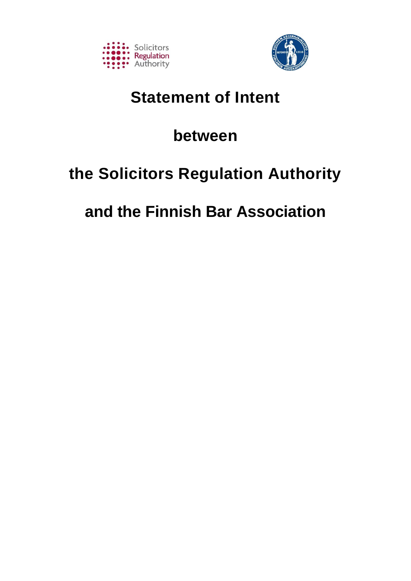



# **Statement of Intent**

# **between**

# **the Solicitors Regulation Authority**

# **and the Finnish Bar Association**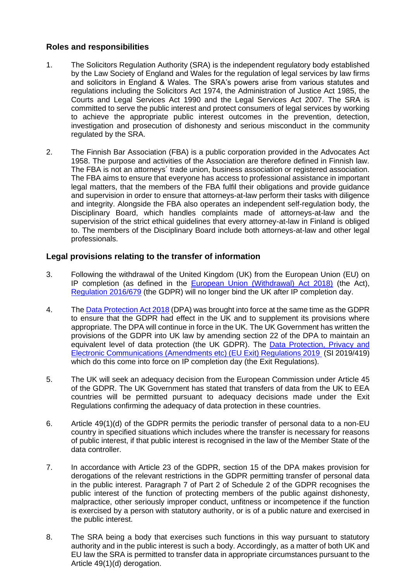# **Roles and responsibilities**

- 1. The Solicitors Regulation Authority (SRA) is the independent regulatory body established by the Law Society of England and Wales for the regulation of legal services by law firms and solicitors in England & Wales. The SRA's powers arise from various statutes and regulations including the Solicitors Act 1974, the Administration of Justice Act 1985, the Courts and Legal Services Act 1990 and the Legal Services Act 2007. The SRA is committed to serve the public interest and protect consumers of legal services by working to achieve the appropriate public interest outcomes in the prevention, detection, investigation and prosecution of dishonesty and serious misconduct in the community regulated by the SRA.
- 2. The Finnish Bar Association (FBA) is a public corporation provided in the Advocates Act 1958. The purpose and activities of the Association are therefore defined in Finnish law. The FBA is not an attorneys´ trade union, business association or registered association. The FBA aims to ensure that everyone has access to professional assistance in important legal matters, that the members of the FBA fulfil their obligations and provide guidance and supervision in order to ensure that attorneys-at-law perform their tasks with diligence and integrity. Alongside the FBA also operates an independent self-regulation body, the Disciplinary Board, which handles complaints made of attorneys-at-law and the supervision of the strict ethical guidelines that every attorney-at-law in Finland is obliged to. The members of the Disciplinary Board include both attorneys-at-law and other legal professionals.

# **Legal provisions relating to the transfer of information**

- 3. Following the withdrawal of the United Kingdom (UK) from the European Union (EU) on IP completion (as defined in the [European Union \(Withdrawal\) Act 2018\)](http://www.legislation.gov.uk/ukpga/2018/16/contents/enacted) (the Act), [Regulation 2016/679](https://eur-lex.europa.eu/legal-content/EN/TXT/PDF/?uri=CELEX:32016R0679) (the GDPR) will no longer bind the UK after IP completion day.
- 4. The [Data Protection Act 2018](http://www.legislation.gov.uk/ukpga/2018/12/contents/enacted) (DPA) was brought into force at the same time as the GDPR to ensure that the GDPR had effect in the UK and to supplement its provisions where appropriate. The DPA will continue in force in the UK. The UK Government has written the provisions of the GDPR into UK law by amending section 22 of the DPA to maintain an equivalent level of data protection (the UK GDPR). The [Data Protection, Privacy and](http://www.legislation.gov.uk/uksi/2019/419/made)  [Electronic Communications \(Amendments etc\) \(EU Exit\) Regulations 2019](http://www.legislation.gov.uk/uksi/2019/419/made) (SI 2019/419) which do this come into force on IP completion day (the Exit Regulations).
- 5. The UK will seek an adequacy decision from the European Commission under Article 45 of the GDPR. The UK Government has stated that transfers of data from the UK to EEA countries will be permitted pursuant to adequacy decisions made under the Exit Regulations confirming the adequacy of data protection in these countries.
- 6. Article 49(1)(d) of the GDPR permits the periodic transfer of personal data to a non-EU country in specified situations which includes where the transfer is necessary for reasons of public interest, if that public interest is recognised in the law of the Member State of the data controller.
- 7. In accordance with Article 23 of the GDPR, section 15 of the DPA makes provision for derogations of the relevant restrictions in the GDPR permitting transfer of personal data in the public interest. Paragraph 7 of Part 2 of Schedule 2 of the GDPR recognises the public interest of the function of protecting members of the public against dishonesty, malpractice, other seriously improper conduct, unfitness or incompetence if the function is exercised by a person with statutory authority, or is of a public nature and exercised in the public interest.
- 8. The SRA being a body that exercises such functions in this way pursuant to statutory authority and in the public interest is such a body. Accordingly, as a matter of both UK and EU law the SRA is permitted to transfer data in appropriate circumstances pursuant to the Article 49(1)(d) derogation.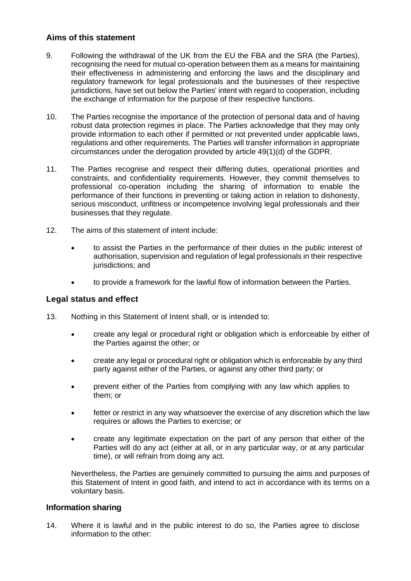# **Aims of this statement**

- 9. Following the withdrawal of the UK from the EU the FBA and the SRA (the Parties), recognising the need for mutual co-operation between them as a means for maintaining their effectiveness in administering and enforcing the laws and the disciplinary and regulatory framework for legal professionals and the businesses of their respective jurisdictions, have set out below the Parties' intent with regard to cooperation, including the exchange of information for the purpose of their respective functions.
- 10. The Parties recognise the importance of the protection of personal data and of having robust data protection regimes in place. The Parties acknowledge that they may only provide information to each other if permitted or not prevented under applicable laws, regulations and other requirements. The Parties will transfer information in appropriate circumstances under the derogation provided by article 49(1)(d) of the GDPR.
- 11. The Parties recognise and respect their differing duties, operational priorities and constraints, and confidentiality requirements. However, they commit themselves to professional co-operation including the sharing of information to enable the performance of their functions in preventing or taking action in relation to dishonesty, serious misconduct, unfitness or incompetence involving legal professionals and their businesses that they regulate.
- 12. The aims of this statement of intent include:
	- to assist the Parties in the performance of their duties in the public interest of authorisation, supervision and regulation of legal professionals in their respective jurisdictions; and
	- to provide a framework for the lawful flow of information between the Parties.

# **Legal status and effect**

- 13. Nothing in this Statement of Intent shall, or is intended to:
	- create any legal or procedural right or obligation which is enforceable by either of the Parties against the other; or
	- create any legal or procedural right or obligation which is enforceable by any third party against either of the Parties, or against any other third party; or
	- prevent either of the Parties from complying with any law which applies to them; or
	- fetter or restrict in any way whatsoever the exercise of any discretion which the law requires or allows the Parties to exercise; or
	- create any legitimate expectation on the part of any person that either of the Parties will do any act (either at all, or in any particular way, or at any particular time), or will refrain from doing any act.

Nevertheless, the Parties are genuinely committed to pursuing the aims and purposes of this Statement of Intent in good faith, and intend to act in accordance with its terms on a voluntary basis.

#### **Information sharing**

14. Where it is lawful and in the public interest to do so, the Parties agree to disclose information to the other: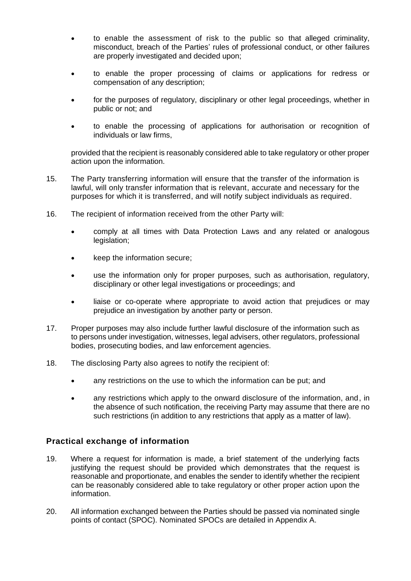- to enable the assessment of risk to the public so that alleged criminality, misconduct, breach of the Parties' rules of professional conduct, or other failures are properly investigated and decided upon;
- to enable the proper processing of claims or applications for redress or compensation of any description;
- for the purposes of regulatory, disciplinary or other legal proceedings, whether in public or not; and
- to enable the processing of applications for authorisation or recognition of individuals or law firms,

provided that the recipient is reasonably considered able to take regulatory or other proper action upon the information.

- 15. The Party transferring information will ensure that the transfer of the information is lawful, will only transfer information that is relevant, accurate and necessary for the purposes for which it is transferred, and will notify subject individuals as required.
- 16. The recipient of information received from the other Party will:
	- comply at all times with Data Protection Laws and any related or analogous legislation;
	- keep the information secure;
	- use the information only for proper purposes, such as authorisation, regulatory, disciplinary or other legal investigations or proceedings; and
	- liaise or co-operate where appropriate to avoid action that prejudices or may prejudice an investigation by another party or person.
- 17. Proper purposes may also include further lawful disclosure of the information such as to persons under investigation, witnesses, legal advisers, other regulators, professional bodies, prosecuting bodies, and law enforcement agencies.
- 18. The disclosing Party also agrees to notify the recipient of:
	- any restrictions on the use to which the information can be put; and
	- any restrictions which apply to the onward disclosure of the information, and, in the absence of such notification, the receiving Party may assume that there are no such restrictions (in addition to any restrictions that apply as a matter of law).

# **Practical exchange of information**

- 19. Where a request for information is made, a brief statement of the underlying facts justifying the request should be provided which demonstrates that the request is reasonable and proportionate, and enables the sender to identify whether the recipient can be reasonably considered able to take regulatory or other proper action upon the information.
- 20. All information exchanged between the Parties should be passed via nominated single points of contact (SPOC). Nominated SPOCs are detailed in Appendix A.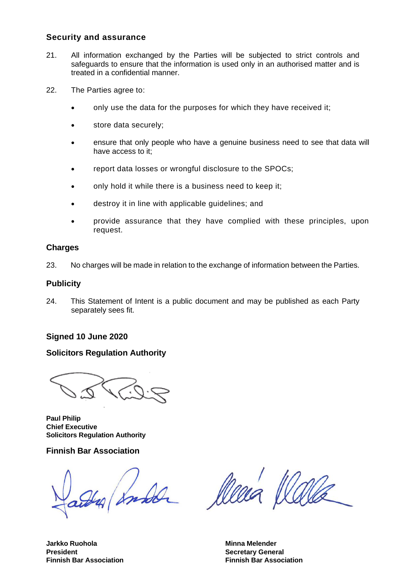#### **Security and assurance**

- 21. All information exchanged by the Parties will be subjected to strict controls and safeguards to ensure that the information is used only in an authorised matter and is treated in a confidential manner.
- 22. The Parties agree to:
	- only use the data for the purposes for which they have received it;
	- store data securely;
	- ensure that only people who have a genuine business need to see that data will have access to it;
	- report data losses or wrongful disclosure to the SPOCs;
	- only hold it while there is a business need to keep it;
	- destroy it in line with applicable guidelines; and
	- provide assurance that they have complied with these principles, upon request.

#### **Charges**

23. No charges will be made in relation to the exchange of information between the Parties.

#### **Publicity**

24. This Statement of Intent is a public document and may be published as each Party separately sees fit.

#### **Signed 10 June 2020**

# **Solicitors Regulation Authority**

**Paul Philip Chief Executive Solicitors Regulation Authority**

# **Finnish Bar Association**

a sunda

lleea

**Finnish Bar Association Finnish Bar Association**

**Jarkko Ruohola Minna Melender President Contract Contract Contract Contract Contract Contract Contract Contract Contract Contract Contract Contract Contract Contract Contract Contract Contract Contract Contract Contract Contract Contract Contract Co**